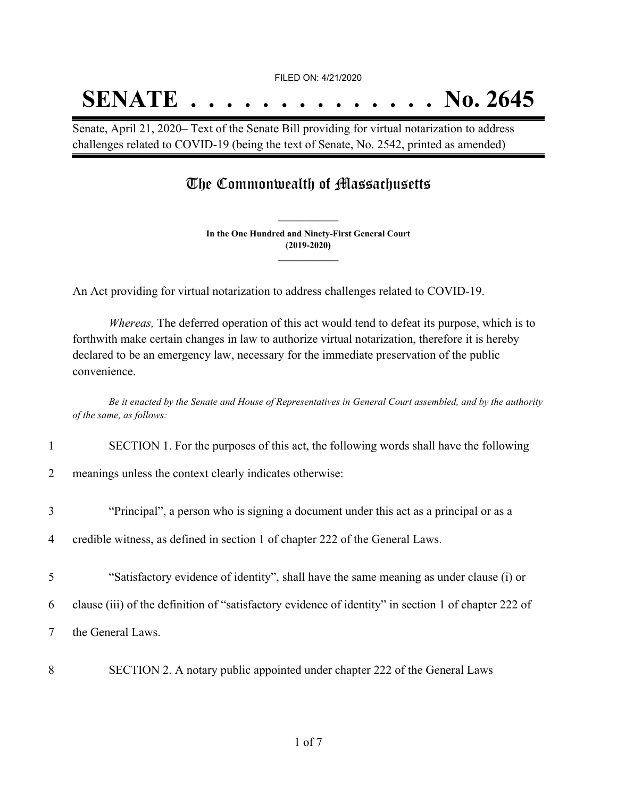## **SENATE . . . . . . . . . . . . . . No. 2645**

Senate, April 21, 2020– Text of the Senate Bill providing for virtual notarization to address challenges related to COVID-19 (being the text of Senate, No. 2542, printed as amended)

## The Commonwealth of Massachusetts

**In the One Hundred and Ninety-First General Court (2019-2020) \_\_\_\_\_\_\_\_\_\_\_\_\_\_\_**

**\_\_\_\_\_\_\_\_\_\_\_\_\_\_\_**

An Act providing for virtual notarization to address challenges related to COVID-19.

*Whereas,* The deferred operation of this act would tend to defeat its purpose, which is to forthwith make certain changes in law to authorize virtual notarization, therefore it is hereby declared to be an emergency law, necessary for the immediate preservation of the public convenience.

Be it enacted by the Senate and House of Representatives in General Court assembled, and by the authority *of the same, as follows:*

1 SECTION 1. For the purposes of this act, the following words shall have the following

2 meanings unless the context clearly indicates otherwise:

- 3 "Principal", a person who is signing a document under this act as a principal or as a
- 4 credible witness, as defined in section 1 of chapter 222 of the General Laws.
- 5 "Satisfactory evidence of identity", shall have the same meaning as under clause (i) or
- 6 clause (iii) of the definition of "satisfactory evidence of identity" in section 1 of chapter 222 of
- 7 the General Laws.
- 8 SECTION 2. A notary public appointed under chapter 222 of the General Laws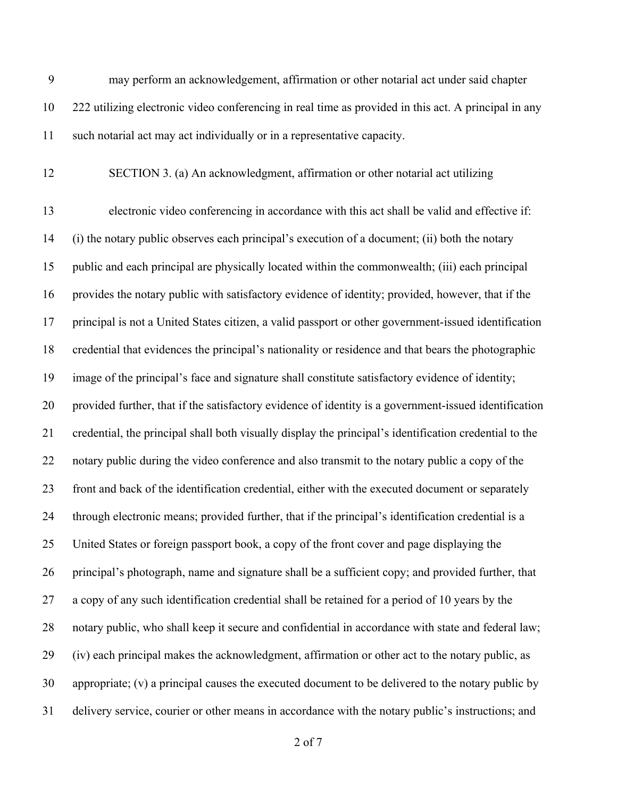may perform an acknowledgement, affirmation or other notarial act under said chapter 222 utilizing electronic video conferencing in real time as provided in this act. A principal in any such notarial act may act individually or in a representative capacity.

SECTION 3. (a) An acknowledgment, affirmation or other notarial act utilizing

 electronic video conferencing in accordance with this act shall be valid and effective if: (i) the notary public observes each principal's execution of a document; (ii) both the notary public and each principal are physically located within the commonwealth; (iii) each principal provides the notary public with satisfactory evidence of identity; provided, however, that if the principal is not a United States citizen, a valid passport or other government-issued identification credential that evidences the principal's nationality or residence and that bears the photographic image of the principal's face and signature shall constitute satisfactory evidence of identity; provided further, that if the satisfactory evidence of identity is a government-issued identification credential, the principal shall both visually display the principal's identification credential to the notary public during the video conference and also transmit to the notary public a copy of the front and back of the identification credential, either with the executed document or separately through electronic means; provided further, that if the principal's identification credential is a United States or foreign passport book, a copy of the front cover and page displaying the principal's photograph, name and signature shall be a sufficient copy; and provided further, that a copy of any such identification credential shall be retained for a period of 10 years by the notary public, who shall keep it secure and confidential in accordance with state and federal law; (iv) each principal makes the acknowledgment, affirmation or other act to the notary public, as appropriate; (v) a principal causes the executed document to be delivered to the notary public by delivery service, courier or other means in accordance with the notary public's instructions; and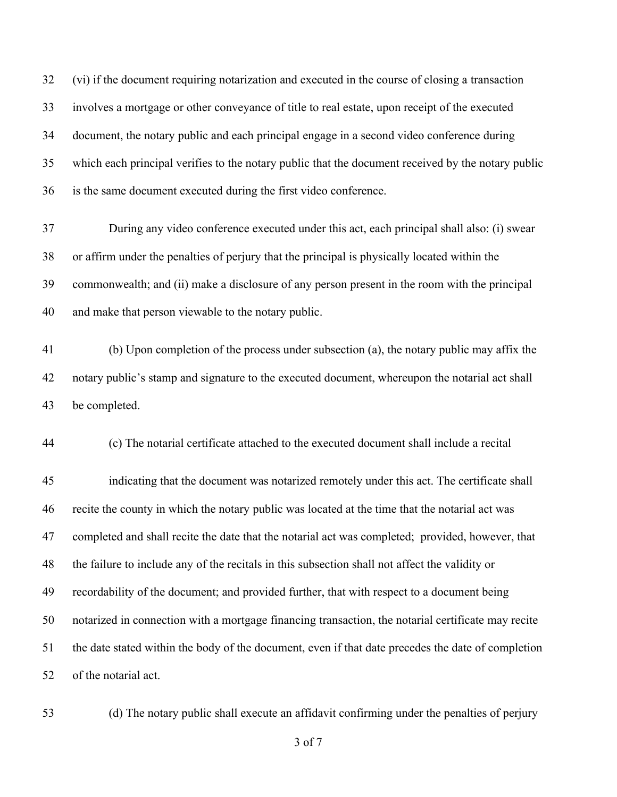(vi) if the document requiring notarization and executed in the course of closing a transaction involves a mortgage or other conveyance of title to real estate, upon receipt of the executed document, the notary public and each principal engage in a second video conference during which each principal verifies to the notary public that the document received by the notary public is the same document executed during the first video conference.

 During any video conference executed under this act, each principal shall also: (i) swear or affirm under the penalties of perjury that the principal is physically located within the commonwealth; and (ii) make a disclosure of any person present in the room with the principal and make that person viewable to the notary public.

 (b) Upon completion of the process under subsection (a), the notary public may affix the notary public's stamp and signature to the executed document, whereupon the notarial act shall be completed.

(c) The notarial certificate attached to the executed document shall include a recital

 indicating that the document was notarized remotely under this act. The certificate shall recite the county in which the notary public was located at the time that the notarial act was completed and shall recite the date that the notarial act was completed; provided, however, that the failure to include any of the recitals in this subsection shall not affect the validity or recordability of the document; and provided further, that with respect to a document being notarized in connection with a mortgage financing transaction, the notarial certificate may recite the date stated within the body of the document, even if that date precedes the date of completion of the notarial act.

(d) The notary public shall execute an affidavit confirming under the penalties of perjury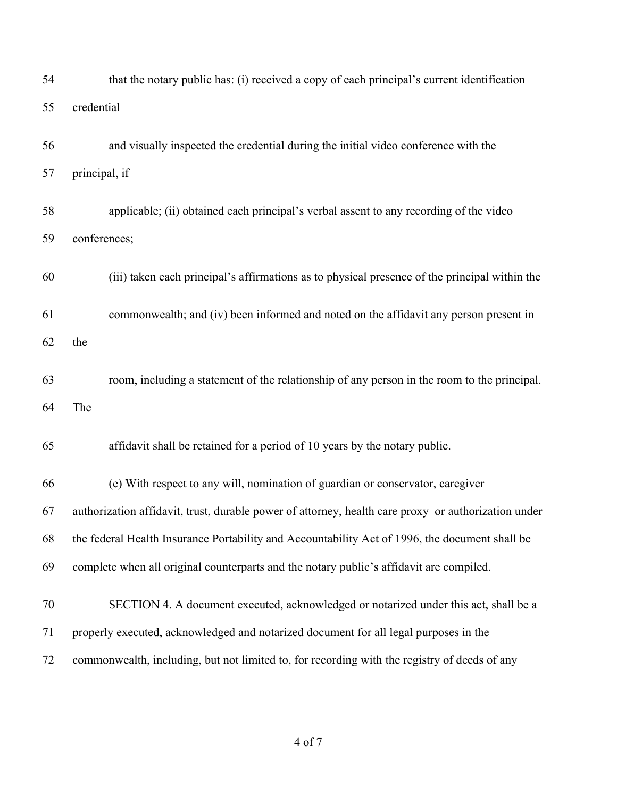| 54 | that the notary public has: (i) received a copy of each principal's current identification          |
|----|-----------------------------------------------------------------------------------------------------|
| 55 | credential                                                                                          |
| 56 | and visually inspected the credential during the initial video conference with the                  |
| 57 | principal, if                                                                                       |
| 58 | applicable; (ii) obtained each principal's verbal assent to any recording of the video              |
| 59 | conferences;                                                                                        |
| 60 | (iii) taken each principal's affirmations as to physical presence of the principal within the       |
| 61 | commonwealth; and (iv) been informed and noted on the affidavit any person present in               |
| 62 | the                                                                                                 |
| 63 | room, including a statement of the relationship of any person in the room to the principal.         |
| 64 | The                                                                                                 |
| 65 | affidavit shall be retained for a period of 10 years by the notary public.                          |
| 66 | (e) With respect to any will, nomination of guardian or conservator, caregiver                      |
| 67 | authorization affidavit, trust, durable power of attorney, health care proxy or authorization under |
| 68 | the federal Health Insurance Portability and Accountability Act of 1996, the document shall be      |
| 69 | complete when all original counterparts and the notary public's affidavit are compiled.             |
| 70 | SECTION 4. A document executed, acknowledged or notarized under this act, shall be a                |
| 71 | properly executed, acknowledged and notarized document for all legal purposes in the                |
| 72 | commonwealth, including, but not limited to, for recording with the registry of deeds of any        |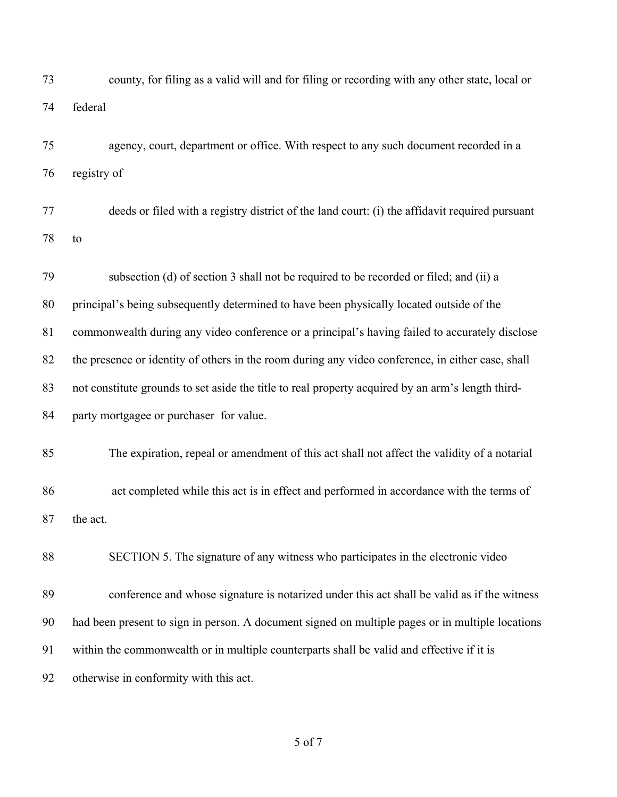| 73 | county, for filing as a valid will and for filing or recording with any other state, local or     |
|----|---------------------------------------------------------------------------------------------------|
| 74 | federal                                                                                           |
| 75 | agency, court, department or office. With respect to any such document recorded in a              |
| 76 | registry of                                                                                       |
| 77 | deeds or filed with a registry district of the land court: (i) the affidavit required pursuant    |
| 78 | to                                                                                                |
| 79 | subsection (d) of section 3 shall not be required to be recorded or filed; and (ii) a             |
| 80 | principal's being subsequently determined to have been physically located outside of the          |
| 81 | commonwealth during any video conference or a principal's having failed to accurately disclose    |
| 82 | the presence or identity of others in the room during any video conference, in either case, shall |
| 83 | not constitute grounds to set aside the title to real property acquired by an arm's length third- |
| 84 | party mortgagee or purchaser for value.                                                           |
| 85 | The expiration, repeal or amendment of this act shall not affect the validity of a notarial       |
| 86 | act completed while this act is in effect and performed in accordance with the terms of           |
| 87 | the act.                                                                                          |
| 88 | SECTION 5. The signature of any witness who participates in the electronic video                  |
| 89 | conference and whose signature is notarized under this act shall be valid as if the witness       |
| 90 | had been present to sign in person. A document signed on multiple pages or in multiple locations  |
| 91 | within the commonwealth or in multiple counterparts shall be valid and effective if it is         |
| 92 | otherwise in conformity with this act.                                                            |
|    |                                                                                                   |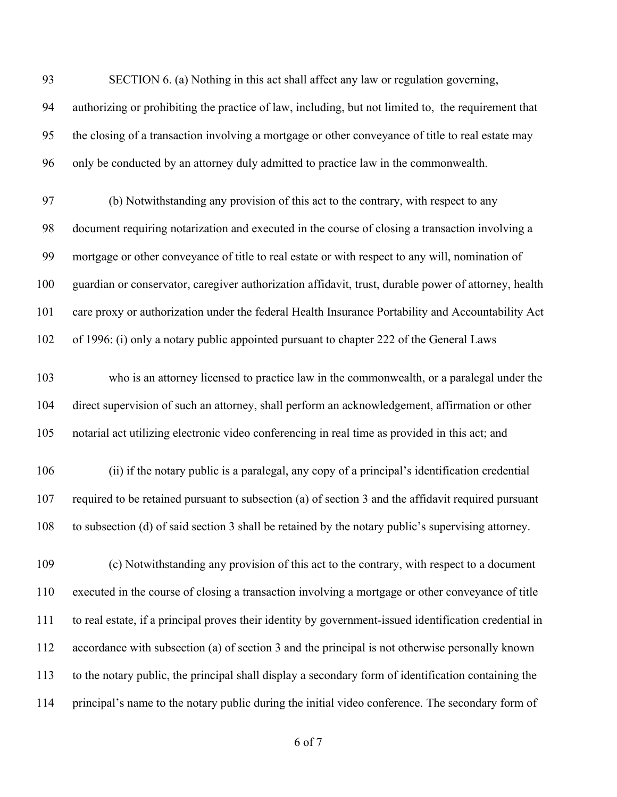authorizing or prohibiting the practice of law, including, but not limited to, the requirement that the closing of a transaction involving a mortgage or other conveyance of title to real estate may only be conducted by an attorney duly admitted to practice law in the commonwealth.

SECTION 6. (a) Nothing in this act shall affect any law or regulation governing,

 (b) Notwithstanding any provision of this act to the contrary, with respect to any document requiring notarization and executed in the course of closing a transaction involving a mortgage or other conveyance of title to real estate or with respect to any will, nomination of guardian or conservator, caregiver authorization affidavit, trust, durable power of attorney, health care proxy or authorization under the federal Health Insurance Portability and Accountability Act of 1996: (i) only a notary public appointed pursuant to chapter 222 of the General Laws

 who is an attorney licensed to practice law in the commonwealth, or a paralegal under the direct supervision of such an attorney, shall perform an acknowledgement, affirmation or other notarial act utilizing electronic video conferencing in real time as provided in this act; and

 (ii) if the notary public is a paralegal, any copy of a principal's identification credential required to be retained pursuant to subsection (a) of section 3 and the affidavit required pursuant to subsection (d) of said section 3 shall be retained by the notary public's supervising attorney.

 (c) Notwithstanding any provision of this act to the contrary, with respect to a document executed in the course of closing a transaction involving a mortgage or other conveyance of title to real estate, if a principal proves their identity by government-issued identification credential in accordance with subsection (a) of section 3 and the principal is not otherwise personally known to the notary public, the principal shall display a secondary form of identification containing the principal's name to the notary public during the initial video conference. The secondary form of